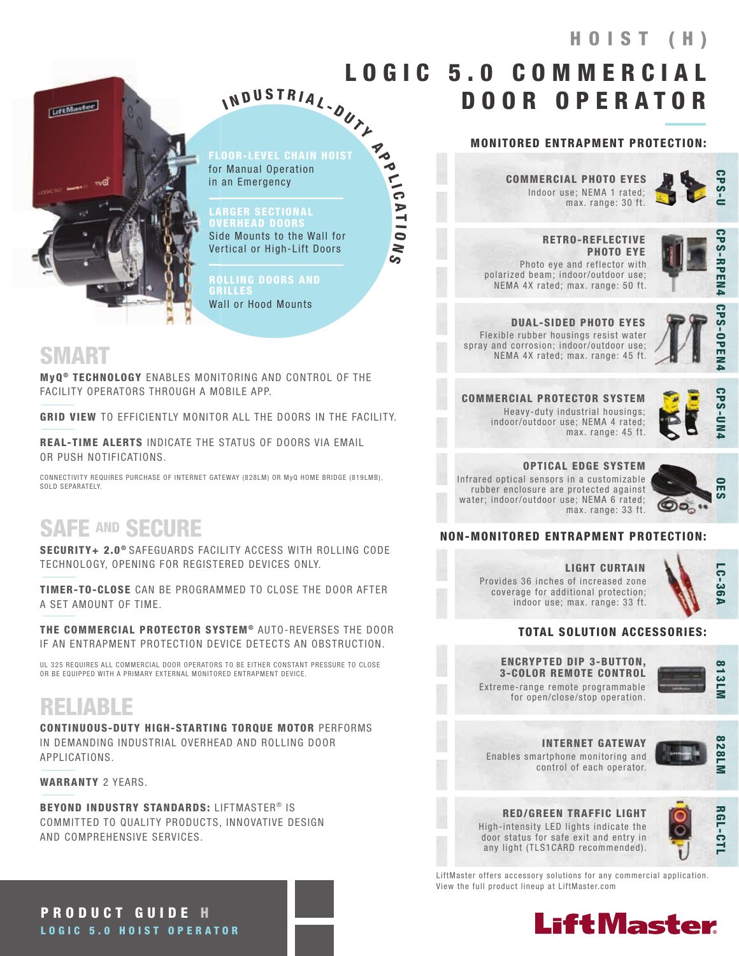# HOIST (H)



FLOOR-LEVEL CHAIN HOIST for Manual Operation in an Emergency

N D U S T R I A L - OUT Y

**Po** 

 $\frac{1}{10}$ 

A T I O

 $\geq$  $\vec{S}$ 

I

LARGER SECTIONAL **/ERHEAD DOOR** Side Mounts to the Wall for Vertical or High-Lift Doors

ROLLING DOORS AND GRILLES Wall or Hood Mounts

### SMART

MyQ<sup>®</sup> TECHNOLOGY ENABLES MONITORING AND CONTROL OF THE FACILITY OPERATORS THROUGH A MOBILE APP.

GRID VIEW TO EFFICIENTLY MONITOR ALL THE DOORS IN THE FACILITY.

REAL-TIME ALERTS INDICATE THE STATUS OF DOORS VIA EMAIL OR PUSH NOTIFICATIONS.

CONNECTIVITY REQUIRES PURCHASE OF INTERNET GATEWAY (828LM) OR MyQ HOME BRIDGE (819LMB), SOLD SEPARATELY

# SAFE AND SECURE

SECURITY+ 2.0<sup>®</sup> SAFEGUARDS FACILITY ACCESS WITH ROLLING CODE TECHNOLOGY, OPENING FOR REGISTERED DEVICES ONLY.

TIMER-TO-CLOSE CAN BE PROGRAMMED TO CLOSE THE DOOR AFTER A SET AMOUNT OF TIME.

THE COMMERCIAL PROTECTOR SYSTEM® AUTO-REVERSES THE DOOR IF AN ENTRAPMENT PROTECTION DEVICE DETECTS AN OBSTRUCTION.

UL 325 REQUIRES ALL COMMERCIAL DOOR OPERATORS TO BE EITHER CONSTANT PRESSURE TO CLOSE OR BE EQUIPPED WITH A PRIMARY EXTERNAL MONITORED ENTRAPMENT DEVICE.

# RELIABLE

CONTINUOUS-DUTY HIGH-STARTING TORQUE MOTOR PERFORMS IN DEMANDING INDUSTRIAL OVERHEAD AND ROLLING DOOR APPLICATIONS.

WARRANTY 2 YEARS.

BEYOND INDUSTRY STANDARDS: LIFTMASTER® IS COMMITTED TO QUALITY PRODUCTS, INNOVATIVE DESIGN AND COMPREHENSIVE SERVICES.

MONITORED ENTRAPMENT PROTECTION:

DOOR OPERATOR

LOGIC 5.0 COMMERCI

Indoor use; NEMA 1 rated; max. range: 30 ft. COMMERCIAL PHOTO EYES



 RETRO-REFLECTIVE PHOTO EYE Photo eye and reflector with polarized beam; indoor/outdoor use; NEMA 4X rated; max. range: 50 ft.



DUAL-SIDED PHOTO EYES Flexible rubber housings resist water spray and corrosion; indoor/outdoor use; NEMA 4X rated; max. range: 45 ft.



COMMERCIAL PROTECTOR SYSTEM Heavy-duty industrial housings; indoor/outdoor use; NEMA 4 rated; max. range: 45 ft.

**CPS-UN** 

OPTICAL EDGE SYSTEM Infrared optical sensors in a customizable rubber enclosure are protected against water; indoor/outdoor use; NEMA 6 rated; max. range: 33 ft.



#### NON-MONITORED ENTRAPMENT PROTECTION:

LIGHT CURTAIN Provides 36 inches of increased zone coverage for additional protection; indoor use; max. range: 33 ft.



#### TOTAL SOLUTION ACCESSORIES:

Extreme-range remote programmable ENCRYPTED DIP 3-BUTTON, 3-COLOR REMOTE CONTROL

for open/close/stop operation.



INTERNET GATEWAY

Enables smartphone monitoring and control of each operator.

RED/GREEN TRAFFIC LIGHT High-intensity LED lights indicate the



828LI

LiftMaster offers accessory solutions for any commercial application. View the full product lineup at LiftMaster.com

door status for safe exit and entry in any light (TLS1CARD recommended).



PRODUCT GUIDE H LOGIC 5.0 HOIST OPERATOR